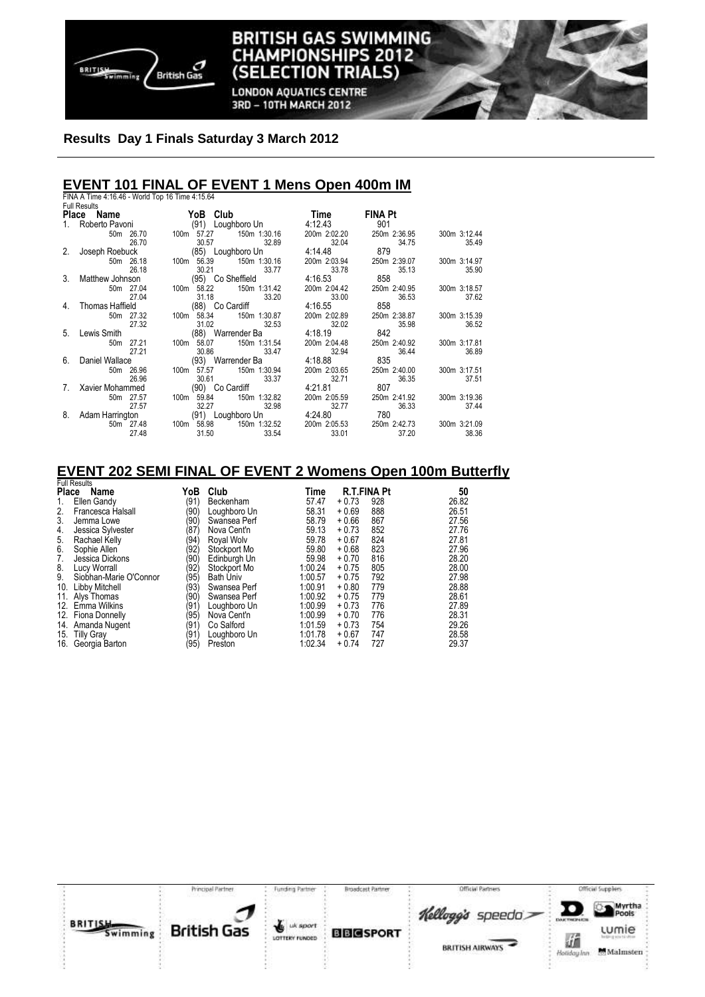

## **Results Day 1 Finals Saturday 3 March 2012**

## **EVENT 101 FINAL OF EVENT 1 Mens Open 400m IM**

|    | FINA A Time 4:16.46 - World Top 16 Time 4:15.64 |                            |              |                |              |
|----|-------------------------------------------------|----------------------------|--------------|----------------|--------------|
|    | <b>Full Results</b>                             |                            |              |                |              |
|    | Place Name                                      | YoB Club                   | Time         | <b>FINA Pt</b> |              |
|    | 1. Roberto Pavoni                               | (91) Loughboro Un          | 4:12.43      | 901            |              |
|    | 50m 26.70                                       | 150m 1:30.16<br>100m 57.27 | 200m 2:02.20 | 250m 2:36.95   | 300m 3:12.44 |
|    | 26.70                                           | 30.57<br>32.89             | 32.04        | 34.75          | 35.49        |
| 2. | Joseph Roebuck                                  | (85) Loughboro Un          | 4:14.48      | 879            |              |
|    | 50m 26.18                                       | 150m 1:30.16<br>100m 56.39 | 200m 2:03.94 | 250m 2:39.07   | 300m 3:14.97 |
|    | 26.18                                           | 30.21<br>33.77             | 33.78        | 35.13          | 35.90        |
|    | 3. Matthew Johnson                              | (95) Co Sheffield          | 4:16.53      | 858            |              |
|    | 50m 27.04                                       | 150m 1:31.42<br>100m 58.22 | 200m 2:04.42 | 250m 2:40.95   | 300m 3:18.57 |
|    | 27.04                                           | 31.18<br>33.20             | 33.00        | 36.53          | 37.62        |
|    | 4. Thomas Haffield                              | (88) Co Cardiff            | 4:16.55      | 858            |              |
|    | 50m 27.32                                       | 100m 58.34<br>150m 1:30.87 | 200m 2:02.89 | 250m 2:38.87   | 300m 3:15.39 |
|    | 27.32                                           | 31.02<br>32.53             | 32.02        | 35.98          | 36.52        |
|    | 5. Lewis Smith                                  | (88) Warrender Ba          | 4:18.19      | 842            |              |
|    | 50m 27.21                                       | 150m 1:31.54<br>100m 58.07 | 200m 2:04.48 | 250m 2:40.92   | 300m 3:17.81 |
|    | 27.21                                           | 30.86<br>33.47             | 32.94        | 36.44          | 36.89        |
|    | 6. Daniel Wallace                               | (93) Warrender Ba          | 4:18.88      | 835            |              |
|    | 50m 26.96                                       | 100m 57.57<br>150m 1:30.94 | 200m 2:03.65 | 250m 2:40.00   | 300m 3:17.51 |
|    | 26.96                                           | 30.61<br>33.37             | 32.71        | 36.35          | 37.51        |
| 7. | Xavier Mohammed                                 | (90) Co Cardiff            | 4:21.81      | 807            |              |
|    | 50m 27.57                                       | 100m 59.84<br>150m 1:32.82 | 200m 2:05.59 | 250m 2:41.92   | 300m 3:19.36 |
|    | 27.57                                           | 32.27<br>32.98             | 32.77        | 36.33          | 37.44        |
| 8. | Adam Harrington                                 | (91) Loughboro Un          | 4:24.80      | 780            |              |
|    | 50m 27.48                                       | 150m 1:32.52<br>100m 58.98 | 200m 2:05.53 | 250m 2:42.73   | 300m 3:21.09 |
|    | 27.48                                           | 31.50<br>33.54             | 33.01        | 37.20          | 38.36        |

**BRITISH GAS SWIMMING CHAMPIONSHIPS 2012** 

**(SELECTION** 

**LONDON AQUATICS CENTRE** 3RD - 10TH MARCH 2012

**TRIALS)** 

## **EVENT 202 SEMI FINAL OF EVENT 2 Womens Open 100m Butterfly**  Full Results

| Place | טווטטטוווא ו<br>Name   | YoB            | Club             | Time    | <b>R.T.FINA Pt</b> |     | 50    |
|-------|------------------------|----------------|------------------|---------|--------------------|-----|-------|
| 1.    | Ellen Gandy            | (91)           | Beckenham        | 57.47   | $+0.73$            | 928 | 26.82 |
| 2.    | Francesca Halsall      | (90            | Loughboro Un     | 58.31   | $+0.69$            | 888 | 26.51 |
| 3.    | Jemma Lowe             | (90            | Swansea Perf     | 58.79   | $+0.66$            | 867 | 27.56 |
| 4.    | Jessica Sylvester      | (87)           | Nova Cent'n      | 59.13   | $+0.73$            | 852 | 27.76 |
| 5.    | Rachael Kelly          | '94'           | Royal Wolv       | 59.78   | $+0.67$            | 824 | 27.81 |
| 6.    | Sophie Allen           | (92)           | Stockport Mo     | 59.80   | $+0.68$            | 823 | 27.96 |
| 7.    | Jessica Dickons        | (90            | Edinburgh Un     | 59.98   | $+0.70$            | 816 | 28.20 |
| 8.    | Lucy Worrall           | (92)           | Stockport Mo     | 1:00.24 | $+0.75$            | 805 | 28.00 |
| 9.    | Siobhan-Marie O'Connor | (95)           | <b>Bath Univ</b> | 1:00.57 | $+0.75$            | 792 | 27.98 |
| 10.   | Libby Mitchell         | (93            | Swansea Perf     | 1:00.91 | $+0.80$            | 779 | 28.88 |
|       | 11. Alys Thomas        | (90            | Swansea Perf     | 1:00.92 | $+0.75$            | 779 | 28.61 |
|       | 12. Emma Wilkins       | (91)           | Loughboro Un     | 1:00.99 | $+0.73$            | 776 | 27.89 |
|       | 12. Fiona Donnelly     | (95)           | Nova Cent'n      | 1:00.99 | $+0.70$            | 776 | 28.31 |
|       | 14. Amanda Nugent      | (91)           | Co Salford       | 1:01.59 | $+0.73$            | 754 | 29.26 |
|       | 15. Tilly Gray         | $^{\prime}$ 91 | Loughboro Un     | 1:01.78 | $+0.67$            | 747 | 28.58 |
| 16.   | Georgia Barton         | (95)           | Preston          | 1:02.34 | $+0.74$            | 727 | 29.37 |

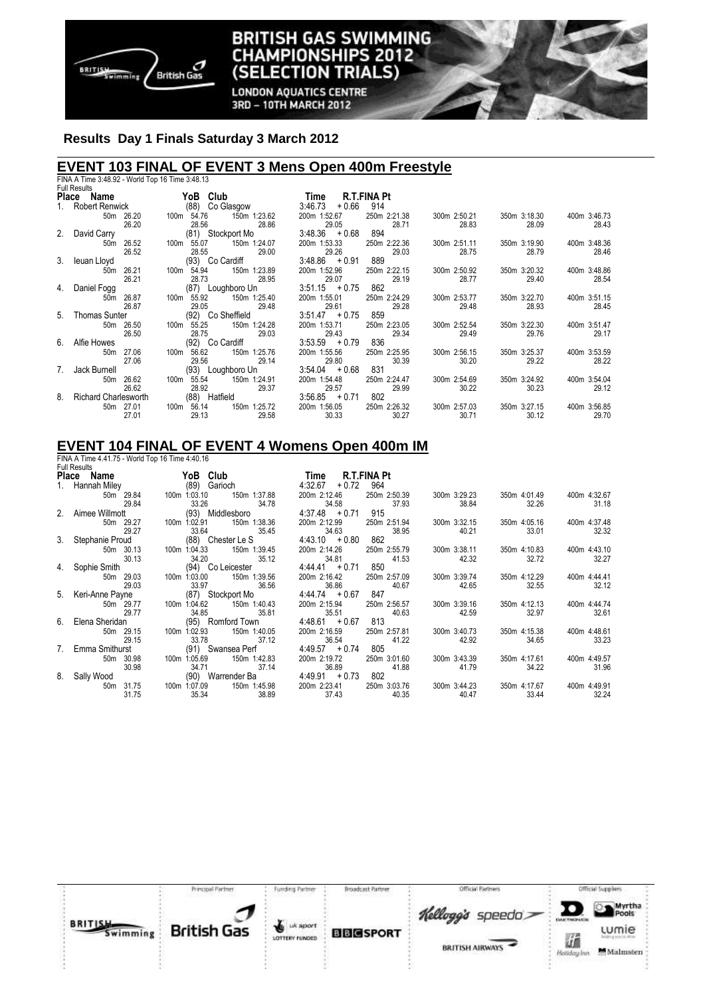

## **BRITISH GAS SWIMMING CHAMPIONSHIPS 2012** (SELECTION TRIALS)

**LONDON AQUATICS CENTRE** 3RD - 10TH MARCH 2012

## **Results Day 1 Finals Saturday 3 March 2012**

# **EVENT 103 FINAL OF EVENT 3 Mens Open 400m Freestyle**  FINA A Time 3:48.92 - World Top 16 Time 3:48.13 Full Results

|    | <b>Full Results</b>         |                                              |                            |                       |                       |                       |                       |
|----|-----------------------------|----------------------------------------------|----------------------------|-----------------------|-----------------------|-----------------------|-----------------------|
|    | Place Name                  | YoB Club                                     | <b>R.T.FINA Pt</b><br>Time |                       |                       |                       |                       |
|    | 1. Robert Renwick           | (88) Co Glasgow                              | 3:46.73<br>$+0.66$         | 914                   |                       |                       |                       |
|    | 50m 26.20                   | 150m 1:23.62<br>100m 54.76                   | 200m 1:52.67               | 250m 2:21.38          | 300m 2:50.21          | 350m 3:18.30          | 400m 3:46.73          |
|    | 26.20                       | 28.56<br>28.86                               | 29.05                      | 28.71                 | 28.83                 | 28.09                 | 28.43                 |
|    | 2. David Carry              | (81) Stockport Mo                            | $3:48.36 + 0.68$           | 894                   |                       |                       |                       |
|    | 50m 26.52                   | 100m 55.07<br>150m 1:24.07                   | 200m 1:53.33               | 250m 2:22.36          | 300m 2:51.11          | 350m 3:19.90          | 400m 3:48.36          |
|    | 26.52                       | 28.55<br>29.00                               | 29.26                      | 29.03                 | 28.75                 | 28.79                 | 28.46                 |
|    | 3. leuan Lloyd              | (93) Co Cardiff                              | $3:48.86 + 0.91$           | 889                   |                       |                       |                       |
|    | 50m 26.21                   | 100m 54.94<br>150m 1:23.89                   | 200m 1:52.96               | 250m 2:22.15          | 300m 2:50.92          | 350m 3:20.32          | 400m 3:48.86          |
|    | 26.21                       | 28.73<br>28.95                               | 29.07                      | 29.19                 | 28.77                 | 29.40                 | 28.54                 |
| 4. | Daniel Fogg                 | (87) Loughboro Un                            | $3:51.15 + 0.75$           | 862                   |                       |                       |                       |
|    | 26.87<br>50m                | 100m 55.92<br>150m 1:25.40                   | 200m 1:55.01               | 250m 2:24.29          | 300m 2:53.77          | 350m 3:22.70          | 400m 3:51.15          |
|    | 26.87                       | 29.05<br>29.48                               | 29.61                      | 29.28                 | 29.48                 | 28.93                 | 28.45                 |
| 5. | Thomas Sunter               | (92) Co Sheffield                            | $3:51.47 + 0.75$           | 859                   |                       |                       |                       |
|    | 50m 26.50                   | 150m 1:24.28<br>100m 55.25                   | 200m 1:53.71               | 250m 2:23.05          | 300m 2:52.54          | 350m 3:22.30          | 400m 3:51.47          |
|    | 26.50                       | 28.75<br>29.03                               | 29.43                      | 29.34                 | 29.49                 | 29.76                 | 29.17                 |
| 6. | Alfie Howes                 | (92) Co Cardiff                              | $3:53.59 + 0.79$           | 836                   |                       |                       |                       |
|    | 50m 27.06                   | 100m 56.62<br>150m 1:25.76                   | 200m 1:55.56               | 250m 2:25.95          | 300m 2:56.15          | 350m 3:25.37          | 400m 3:53.59          |
|    | 27.06                       | 29.56<br>29.14                               | 29.80                      | 30.39                 | 30.20                 | 29.22                 | 28.22                 |
| 7. | Jack Burnell                | (93) Loughboro Un                            | $3:54.04 + 0.68$           | 831                   |                       |                       |                       |
|    | 26.62<br>50 <sub>m</sub>    | 150m 1:24.91<br>100m<br>55.54                | 200m 1:54.48               | 250m 2:24.47          | 300m 2:54.69          | 350m 3:24.92          | 400m 3:54.04<br>29.12 |
| 8. | 26.62                       | 28.92<br>29.37                               | 29.57                      | 29.99<br>802          | 30.22                 | 30.23                 |                       |
|    | <b>Richard Charlesworth</b> | (88) Hatfield                                | $3:56.85 + 0.71$           |                       |                       |                       |                       |
|    | 50m 27.01<br>27.01          | 150m 1:25.72<br>100m 56.14<br>29.13<br>29.58 | 200m 1:56.05<br>30.33      | 250m 2:26.32<br>30.27 | 300m 2:57.03<br>30.71 | 350m 3:27.15<br>30.12 | 400m 3:56.85<br>29.70 |
|    |                             |                                              |                            |                       |                       |                       |                       |

#### **EVENT 104 FINAL OF EVENT 4 Womens Open 400m IM**  FINA A Time 4.41.75 - World Top 16 Time 4:40.16

| <b>Full Results</b>                                         |                           |              |                                        |              |                           |              |              |
|-------------------------------------------------------------|---------------------------|--------------|----------------------------------------|--------------|---------------------------|--------------|--------------|
| Place Name YoB Club                                         |                           |              | Time R.T.FINA Pt                       |              |                           |              |              |
| 1. Hannah Miley (89) Garioch<br>50m 29.84 100m 1:03.10 150r |                           |              | $4:32.67 + 0.72$ 964                   |              |                           |              |              |
|                                                             |                           | 150m 1:37.88 | 200m 2:12.46                           | 250m 2:50.39 | 300m 3:29.23              | 350m 4:01.49 | 400m 4:32.67 |
| 29.84                                                       | 33.26                     | 34.78        | 34.58 37.93                            |              | 38.84                     | 32.26        | 31.18        |
| 2. Aimee Willmott                                           | (93) Middlesboro          |              | $4:37.48 + 0.71$ 915                   |              |                           |              |              |
| 50m 29.27                                                   |                           |              | 200m 2:12.99 250m 2:51.94 300m 3:32.15 |              |                           | 350m 4:05.16 | 400m 4:37.48 |
| 29.27                                                       | <b>33.64</b>              | 35.45        | 34.63                                  | 38.95        | 40.21                     | 33.01        | 32.32        |
| 3. Stephanie Proud                                          | (88) Chester Le S         |              | $4:43.10 + 0.80 862$                   |              |                           |              |              |
| 50m 30.13                                                   | 100m 1:04.33 150m 1:39.45 |              | 200m 2:14.26                           | 250m 2:55.79 | 300m 3:38.11              | 350m 4:10.83 | 400m 4:43.10 |
| 30.13                                                       | 34.20 35.12               |              | 34.81 41.53                            |              | 42.32                     | 32.72        | 32.27        |
| 4. Sophie Smith                                             | (94) Co Leicester         |              | $4:44.41 + 0.71 850$                   |              |                           |              |              |
| 50m 29.03                                                   | 100m 1:03.00              | 150m 1:39.56 | 200m 2:16.42                           | 250m 2:57.09 | 300m 3:39.74              | 350m 4:12.29 | 400m 4:44.41 |
| 29.03                                                       | 33.97                     | 36.56        | 36.86 40.67                            |              | 42.65                     | 32.55        | 32.12        |
| 5. Keri-Anne Payne (87) Stockport Mo                        |                           |              | $4:44.74 + 0.67 847$                   |              |                           |              |              |
| 50m 29.77                                                   |                           |              | 200m 2:15.94                           |              | 250m 2:56.57 300m 3:39.16 | 350m 4:12.13 | 400m 4:44.74 |
| 29.77                                                       | 34.85                     | 35.81        | 35.51                                  | 40.63        | 42.59                     | 32.97        | 32.61        |
| 6. Elena Sheridan                                           | (95) Romford Town         |              | $4:48.61 + 0.67$                       | 813          |                           |              |              |
| 50m 29.15                                                   | 100m 1:02.93 150m 1:40.05 |              | 200m 2:16.59                           | 250m 2:57.81 | 300m 3:40.73              | 350m 4:15.38 | 400m 4:48.61 |
| 29.15                                                       | 33.78                     | 37.12        | 36.54 41.22                            |              | 42.92                     | 34.65        | 33.23        |
| 7. Emma Smithurst                                           |                           |              | $4:49.57 + 0.74$ 805                   |              |                           |              |              |
|                                                             | (91) Swansea Perf         |              |                                        |              |                           |              |              |
| 50m 30.98                                                   | 100m 1:05.69              | 150m 1:42.83 | 200m 2:19.72                           | 250m 3:01.60 | 300m 3:43.39              | 350m 4:17.61 | 400m 4:49.57 |
| 30.98                                                       | 34.71                     | 37.14        | 36.89 41.88                            |              | 41.79                     | 34.22        | 31.96        |
| 8. Sally Wood                                               | (90) Warrender Ba         |              | 4:49.91 + 0.73 802                     |              |                           |              |              |
| 50m 31.75                                                   | 100m 1:07.09              | 150m 1:45.98 | 200m 2:23.41                           |              | 250m 3:03.76 300m 3:44.23 | 350m 4:17.67 | 400m 4:49.91 |
| 31.75                                                       | 35.34                     | 38.89        | 37.43                                  | 40.35        | 40.47                     | 33.44        | 32.24        |

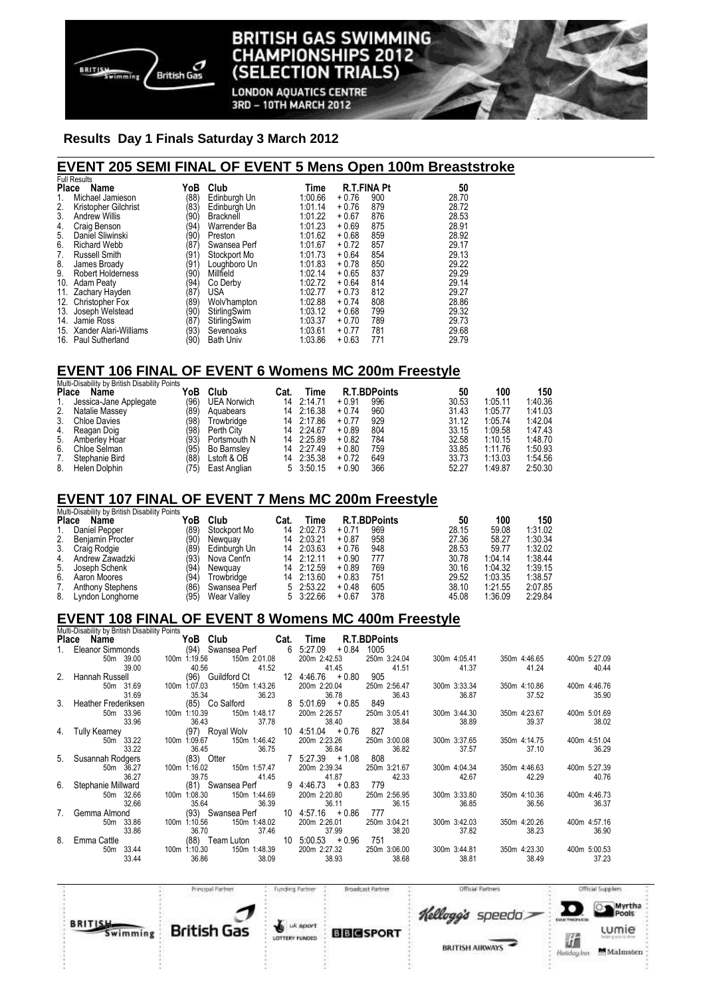

#### TISH GAS SWIMMING BRI **IAMPIONSHIPS 2012** Cŀ **TRIALS) (SELECTION**

**LONDON AQUATICS CENTRE** 3RD - 10TH MARCH 2012

### **Results Day 1 Finals Saturday 3 March 2012**

### **EVENT 205 SEMI FINAL OF EVENT 5 Mens Open 100m Breaststroke**

|              | <b>Full Results</b>      |      |                  |         |         |                    |       |
|--------------|--------------------------|------|------------------|---------|---------|--------------------|-------|
| <b>Place</b> | Name                     | YoB  | Club             | Time    |         | <b>R.T.FINA Pt</b> | 50    |
| 1.           | Michael Jamieson         | (88) | Edinburgh Un     | 1:00.66 | $+0.76$ | 900                | 28.70 |
| 2.           | Kristopher Gilchrist     | 83)  | Edinburgh Un     | 1:01.14 | $+0.76$ | 879                | 28.72 |
| 3.           | <b>Andrew Willis</b>     | (90  | <b>Bracknell</b> | 1:01.22 | $+0.67$ | 876                | 28.53 |
| 4.           | Craig Benson             | '94' | Warrender Ba     | 1:01.23 | $+0.69$ | 875                | 28.91 |
| 5.           | Daniel Sliwinski         | (90) | Preston          | 1:01.62 | $+0.68$ | 859                | 28.92 |
| 6.           | <b>Richard Webb</b>      | '87' | Swansea Perf     | 1:01.67 | $+0.72$ | 857                | 29.17 |
| 7.           | <b>Russell Smith</b>     | (91  | Stockport Mo     | 1:01.73 | $+0.64$ | 854                | 29.13 |
| 8.           | James Broady             | (91  | Loughboro Un     | 1:01.83 | $+0.78$ | 850                | 29.22 |
| 9.           | <b>Robert Holderness</b> | (90  | Millfield        | 1:02.14 | $+0.65$ | 837                | 29.29 |
| 10.          | <b>Adam Peaty</b>        | '94' | Co Derby         | 1:02.72 | $+0.64$ | 814                | 29.14 |
| 11.          | Zachary Hayden           | (87) | <b>USA</b>       | 1:02.77 | $+0.73$ | 812                | 29.27 |
|              | 12. Christopher Fox      | (89  | Wolv'hampton     | 1:02.88 | $+0.74$ | 808                | 28.86 |
| 13.          | Joseph Welstead          | (90  | StirlingSwim     | 1:03.12 | $+0.68$ | 799                | 29.32 |
| 14.          | Jamie Ross               | '87) | StirlingSwim     | 1:03.37 | $+0.70$ | 789                | 29.73 |
| 15.          | Xander Alari-Williams    | (93) | Sevenoaks        | 1:03.61 | $+0.77$ | 781                | 29.68 |
|              | 16. Paul Sutherland      | (90) | <b>Bath Univ</b> | 1:03.86 | $+0.63$ | 771                | 29.79 |

### **EVENT 106 FINAL OF EVENT 6 Womens MC 200m Freestyle**

|              | Multi-Disability by British Disability Points |      |                    |      |            |         |                     |       |         |         |
|--------------|-----------------------------------------------|------|--------------------|------|------------|---------|---------------------|-------|---------|---------|
| <b>Place</b> | Name                                          | YoB  | Club               | Cat. | Time       |         | <b>R.T.BDPoints</b> | 50    | 100     | 150     |
|              | Jessica-Jane Applegate                        | (96) | <b>UEA Norwich</b> | 14   | 2:14.71    | $+0.91$ | 996                 | 30.53 | 1:05.11 | 1:40.36 |
| 2.           | Natalie Massey                                | '89' | Aguabears          |      | 14 2:16.38 | $+0.74$ | 960                 | 31.43 | 1:05.77 | 1:41.03 |
| 3.           | <b>Chloe Davies</b>                           | '98) | Trowbridge         |      | 14 2:17.86 | $+0.77$ | 929                 | 31.12 | 1:05.74 | 1:42.04 |
| 4.           | Reagan Doig                                   | (98) | Perth City         |      | 14 2:24.67 | $+0.89$ | 804                 | 33.15 | 1:09.58 | 1:47.43 |
| 5.           | Amberley Hoar                                 | '93' | Portsmouth N       |      | 14 2:25.89 | $+0.82$ | 784                 | 32.58 | 1:10.15 | 1:48.70 |
| 6.           | Chloe Selman                                  | '95) | <b>Bo Barnsley</b> |      | 14 2:27.49 | $+0.80$ | 759                 | 33.85 | 1:11.76 | 1:50.93 |
|              | Stephanie Bird                                | (88  | Lstoft & OB        | 14   | 2:35.38    | $+0.72$ | 649                 | 33.73 | 1:13.03 | 1:54.56 |
| 8.           | Helen Dolphin                                 | 75)  | East Anglian       |      | 5 3:50.15  | $+0.90$ | 366                 | 52.27 | 1:49.87 | 2:50.30 |

## **EVENT 107 FINAL OF EVENT 7 Mens MC 200m Freestyle**

|              | Multi-Disability by British Disability Points |      |              |      |                   |         |                     |       |         |         |  |
|--------------|-----------------------------------------------|------|--------------|------|-------------------|---------|---------------------|-------|---------|---------|--|
| <b>Place</b> | Name                                          | YoB  | Club         | Cat. | Time              |         | <b>R.T.BDPoints</b> | 50    | 100     | 150     |  |
| 1.           | Daniel Pepper                                 | (89) | Stockport Mo | 14   | 2:02.73           | $+0.71$ | 969                 | 28.15 | 59.08   | 1:31.02 |  |
| 2.           | <b>Beniamin Procter</b>                       | (90) | Newguay      |      | 14 2:03.21        | $+0.87$ | 958                 | 27.36 | 58.27   | 1:30.34 |  |
| 3.           | Craig Rodgie                                  | (89) | Edinburgh Un |      | 14 2:03.63        | $+0.76$ | 948                 | 28.53 | 59.77   | 1:32.02 |  |
| 4.           | Andrew Zawadzki                               | (93) | Nova Cent'n  |      | 14 2:12.11        | $+0.90$ | 777                 | 30.78 | 1:04.14 | 1:38.44 |  |
| 5.           | Joseph Schenk                                 | (94  | Newguay      |      | 14 2:12.59        | $+0.89$ | 769                 | 30.16 | 1:04.32 | 1:39.15 |  |
| 6.           | Aaron Moores                                  | (94) | Trowbridae   |      | 14 2:13.60        | $+0.83$ | 751                 | 29.52 | 1:03.35 | 1:38.57 |  |
| 7.           | <b>Anthony Stephens</b>                       | (86) | Swansea Perf |      | 5 2:53.22         | $+0.48$ | 605                 | 38.10 | 1:21.55 | 2:07.85 |  |
| 8.           | Lyndon Longhorne                              | (95) | Wear Valley  |      | $5 \quad 3:22.66$ | $+0.67$ | 378                 | 45.08 | 1:36.09 | 2:29.84 |  |

## **EVENT 108 FINAL OF EVENT 8 Womens MC 400m Freestyle**

| Multi-Disability by British Disability Points |                    |              |       |                       |                                |                     |              |              |                       |
|-----------------------------------------------|--------------------|--------------|-------|-----------------------|--------------------------------|---------------------|--------------|--------------|-----------------------|
| Place Name                                    |                    |              |       | The Club Cat.         | Time                           | <b>R.T.BDPoints</b> |              |              |                       |
| 1. Eleanor Simmonds                           |                    |              |       | (94) Swansea Perf 6   | 5:27.09<br>$+0.84$             | 1005                |              |              |                       |
|                                               | 50m 39.00          | 100m 1:19.56 |       | 150m 2:01.08          | 200m 2:42.53                   | 250m 3:24.04        | 300m 4:05.41 | 350m 4:46.65 | 400m 5:27.09          |
|                                               | 39.00              |              | 40.56 | 41.52                 | 41.45                          | 41.51               | 41.37        | 41.24        | 40.44                 |
| 2. Hannah Russell                             |                    |              |       | (96) Guildford Ct     | $12 \quad 4:46.76 \quad +0.80$ | 905                 |              |              |                       |
|                                               | 50m 31.69          | 100m 1:07.03 |       | 150m 1:43.26          | 200m 2:20.04                   | 250m 2:56.47        | 300m 3:33.34 | 350m 4:10.86 | 400m 4:46.76          |
|                                               | 31.69              |              | 35.34 | 36.23                 | 36.78                          | 36.43               | 36.87        | 37.52        | 35.90                 |
| 3. Heather Frederiksen                        |                    |              |       | (85) Co Salford       | $8\ 5.01.69 + 0.85$            | 849                 |              |              |                       |
|                                               | 50m 33.96          | 100m 1:10.39 |       | 150m 1:48.17          | 200m 2:26.57                   | 250m 3:05.41        | 300m 3:44.30 | 350m 4:23.67 | 400m 5:01.69          |
|                                               | 33.96              |              | 36.43 | 37.78                 | 38.40                          | 38.84               | 38.89        | 39.37        | 38.02                 |
| 4. Tully Kearney                              |                    |              |       | (97) Royal Wolv       | $10 \t4:51.04 \t+0.76$         | 827                 |              |              |                       |
|                                               | 50m 33.22          | 100m 1:09.67 |       | 150m 1:46.42          | 200m 2:23.26                   | 250m 3:00.08        | 300m 3:37.65 | 350m 4:14.75 | 400m 4:51.04          |
|                                               | 33.22              |              | 36.45 | 36.75                 | 36.84                          | 36.82               | 37.57        | 37.10        | 36.29                 |
| 5. Susannah Rodgers                           |                    |              |       | $(83)$ Otter          | $7 \t5:27.39 + 1.08$           | 808                 |              |              |                       |
|                                               | 50m 36.27<br>36.27 | 100m 1:16.02 | 39.75 | 150m 1:57.47<br>41.45 | 200m 2:39.34<br>41.87          | 250m 3:21.67        | 300m 4:04.34 | 350m 4:46.63 | 400m 5:27.39<br>40.76 |
| 6. Stephanie Millward                         |                    |              |       | (81) Swansea Perf     | $9 \t4:46.73 + 0.83$           | 42.33<br>779        | 42.67        | 42.29        |                       |
|                                               | 50m 32.66          | 100m 1:08.30 |       | 150m 1:44.69          | 200m 2:20.80                   | 250m 2:56.95        | 300m 3:33.80 | 350m 4:10.36 | 400m 4:46.73          |
|                                               | 32.66              |              | 35.64 | 36.39                 | 36.11                          | 36.15               | 36.85        | 36.56        | 36.37                 |
| 7. Gemma Almond                               |                    |              |       | (93) Swansea Perf     | $10 \quad 4:57.16 \quad +0.86$ | 777                 |              |              |                       |
|                                               | 50m 33.86          | 100m 1:10.56 |       | 150m 1:48.02          | 200m 2:26.01                   | 250m 3:04.21        | 300m 3:42.03 | 350m 4:20.26 | 400m 4:57.16          |
|                                               | 33.86              |              | 36.70 | 37.46                 | 37.99                          | 38.20               | 37.82        | 38.23        | 36.90                 |
| 8. Emma Cattle                                |                    |              |       | (88) Team Luton       | $10$ 5:00.53 $+0.96$           | 751                 |              |              |                       |
|                                               | 50m 33.44          | 100m 1:10.30 |       | 150m 1:48.39          | 200m 2:27.32                   | 250m 3:06.00        | 300m 3:44.81 | 350m 4:23.30 | 400m 5:00.53          |
|                                               | 33.44              |              | 36.86 | 38.09                 | 38.93                          | 38.68               | 38.81        | 38.49        | 37.23                 |

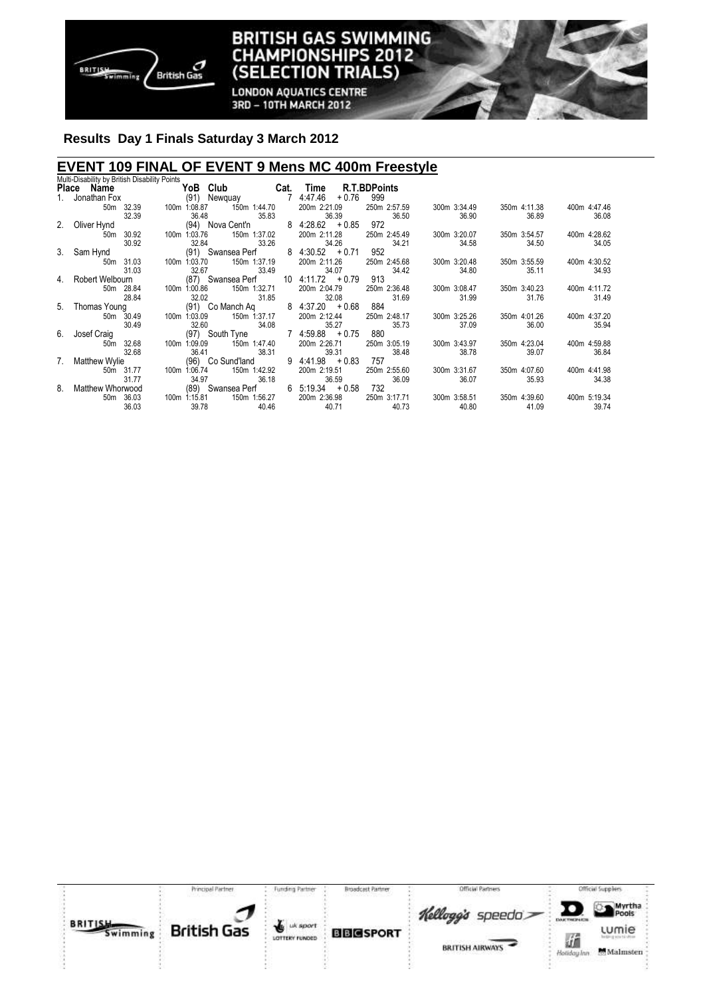

#### **BRITISH GAS SWIMMING** Cŀ **IAMPIONSHIPS 2012 (SELECTION TRIALS)**

**LONDON AQUATICS CENTRE** 3RD - 10TH MARCH 2012

## **Results Day 1 Finals Saturday 3 March 2012**

## **EVENT 109 FINAL OF EVENT 9 Mens MC 400m Freestyle**  Multi-Disability by British Disability Points

|    | <b>MULL-DISAMILY DY DHUSH DISAMILY FULHS</b><br>Place Name | YoB Club                                       | Cat. | Time                                 | <b>R.T.BDPoints</b>   |                       |                       |                       |
|----|------------------------------------------------------------|------------------------------------------------|------|--------------------------------------|-----------------------|-----------------------|-----------------------|-----------------------|
|    | Jonathan Fox                                               | (91) Newquay<br>$\overline{7}$                 |      | 4:47.46<br>$+0.76$                   | 999                   |                       |                       |                       |
|    | 50m 32.39<br>32.39                                         | 150m 1:44.70<br>100m 1:08.87<br>36.48<br>35.83 |      | 200m 2:21.09<br>36.39                | 250m 2:57.59<br>36.50 | 300m 3:34.49<br>36.90 | 350m 4:11.38<br>36.89 | 400m 4:47.46<br>36.08 |
| 2. | Oliver Hynd                                                | (94) Nova Cent'n                               |      | $8 \t4:28.62 \t+0.85$                | 972                   |                       |                       |                       |
|    | 30.92<br>50m<br>30.92                                      | 150m 1:37.02<br>100m 1:03.76<br>33.26<br>32.84 |      | 200m 2:11.28<br>34.26                | 250m 2:45.49<br>34.21 | 300m 3:20.07<br>34.58 | 350m 3:54.57<br>34.50 | 400m 4:28.62<br>34.05 |
| 3. | Sam Hynd                                                   | (91) Swansea Perf                              |      | $8 \t4:30.52 \t+0.71$                | 952                   |                       |                       |                       |
|    | 31.03<br>50m<br>31.03                                      | 150m 1:37.19<br>100m 1:03.70<br>32.67<br>33.49 |      | 200m 2:11.26<br>34.07                | 250m 2:45.68<br>34.42 | 300m 3:20.48<br>34.80 | 350m 3:55.59<br>35.11 | 400m 4:30.52<br>34.93 |
| 4. | Robert Welbourn                                            | (87) Swansea Perf                              |      | $10$ 4:11.72 $+0.79$                 | 913                   |                       |                       |                       |
|    | 50m 28.84<br>28.84                                         | 150m 1:32.71<br>100m 1:00.86<br>32.02<br>31.85 |      | 200m 2:04.79<br>32.08                | 250m 2:36.48<br>31.69 | 300m 3:08.47<br>31.99 | 350m 3:40.23<br>31.76 | 400m 4:11.72<br>31.49 |
|    | 5. Thomas Young                                            | (91) Co Manch Aq                               |      | $8 \t4:37.20 \t+0.68$                | 884                   |                       |                       |                       |
|    | 50m 30.49<br>30.49                                         | 150m 1:37.17<br>100m 1:03.09<br>34.08<br>32.60 |      | 200m 2:12.44<br>35.27                | 250m 2:48.17<br>35.73 | 300m 3:25.26<br>37.09 | 350m 4:01.26<br>36.00 | 400m 4:37.20<br>35.94 |
| 6. | Josef Craig                                                | (97) South Tyne                                |      | $7 \t4:59.88 + 0.75$                 | 880                   |                       |                       |                       |
|    | 50m 32.68<br>32.68                                         | 150m 1:47.40<br>100m 1:09.09<br>36.41<br>38.31 |      | 200m 2:26.71<br>39.31                | 250m 3:05.19<br>38.48 | 300m 3:43.97<br>38.78 | 350m 4:23.04<br>39.07 | 400m 4:59.88<br>36.84 |
| 7. | <b>Matthew Wylie</b>                                       | (96) Co Sund'land                              |      | $9 \t4:41.98 + 0.83$                 | 757                   |                       |                       |                       |
|    | 50m 31.77                                                  | 150m 1:42.92<br>100m 1:06.74                   |      | 200m 2:19.51                         | 250m 2:55.60          | 300m 3:31.67          | 350m 4:07.60          | 400m 4:41.98          |
| 8. | 31.77<br>Matthew Whorwood                                  | 34.97<br>36.18<br>(89) Swansea Perf            |      | 36.59<br>$6\quad 5:19.34\quad +0.58$ | 36.09<br>732          | 36.07                 | 35.93                 | 34.38                 |
|    | 36.03<br>50m<br>36.03                                      | 100m 1:15.81<br>150m 1:56.27<br>39.78<br>40.46 |      | 200m 2:36.98<br>40.71                | 250m 3:17.71<br>40.73 | 300m 3:58.51<br>40.80 | 350m 4:39.60<br>41.09 | 400m 5:19.34<br>39.74 |

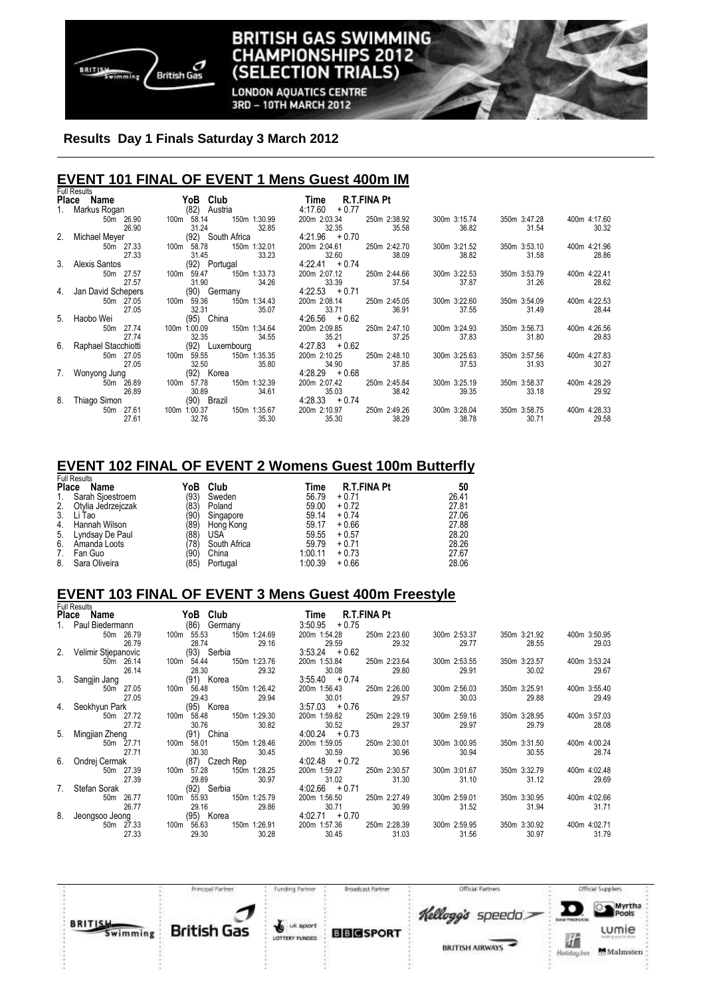

#### **BRITISH GAS SWIMMING IAMPIONSHIPS 2012** Cŀ **TRIALS) (SELECTION**

**LONDON AQUATICS CENTRE** 3RD - 10TH MARCH 2012

## **Results Day 1 Finals Saturday 3 March 2012**

## **EVENT 101 FINAL OF EVENT 1 Mens Guest 400m IM**  Full Results

|    | i uli i vesults<br>Place<br>Name | Club<br>YoB              |                       | Time                      | R.T.FINA Pt           |                       |                       |                       |
|----|----------------------------------|--------------------------|-----------------------|---------------------------|-----------------------|-----------------------|-----------------------|-----------------------|
| 1. | Markus Rogan                     | (82)<br>Austria          |                       | 4:17.60<br>$+0.77$        |                       |                       |                       |                       |
|    | 50m 26.90<br>26.90               | 100m 58.14<br>31.24      | 150m 1:30.99<br>32.85 | 200m 2:03.34<br>32.35     | 250m 2:38.92<br>35.58 | 300m 3:15.74<br>36.82 | 350m 3:47.28<br>31.54 | 400m 4:17.60<br>30.32 |
| 2. | Michael Meyer                    | (92) South Africa        |                       | $4:21.96 + 0.70$          |                       |                       |                       |                       |
|    | 50m 27.33<br>27.33               | 100m<br>58.78<br>31.45   | 150m 1:32.01<br>33.23 | 200m 2:04.61<br>32.60     | 250m 2:42.70<br>38.09 | 300m 3:21.52<br>38.82 | 350m 3:53.10<br>31.58 | 400m 4:21.96<br>28.86 |
|    | 3. Alexis Santos                 | (92) Portugal            |                       | $4:22.41 + 0.74$          |                       |                       |                       |                       |
|    | 27.57<br>50m<br>27.57            | 59.47<br>100m<br>31.90   | 150m 1:33.73<br>34.26 | 200m 2:07.12<br>33.39     | 250m 2:44.66<br>37.54 | 300m 3:22.53<br>37.87 | 350m 3:53.79<br>31.26 | 400m 4:22.41<br>28.62 |
| 4. | Jan David Schepers               | (90) Germany             |                       | $4:22.53 + 0.71$          |                       |                       |                       |                       |
|    | 50m 27.05                        | 100m 59.36               | 150m 1:34.43          | 200m 2:08.14              | 250m 2:45.05          | 300m 3:22.60          | 350m 3:54.09          | 400m 4:22.53          |
|    | 27.05                            | 32.31                    | 35.07                 | 33.71                     | 36.91                 | 37.55                 | 31.49                 | 28.44                 |
| 5. | Haobo Wei                        | (95) China               |                       | $4:26.56 + 0.62$          |                       |                       |                       |                       |
|    | 27.74<br>50 <sub>m</sub>         | 1:00.09<br>100m          | 150m 1:34.64          | 200m 2:09.85              | 250m 2:47.10          | 300m 3:24.93          | 350m 3:56.73          | 400m 4:26.56          |
| 6. | 27.74<br>Raphael Stacchiotti     | 32.35<br>(92) Luxembourg | 34.55                 | 35.21<br>$4:27.83 + 0.62$ | 37.25                 | 37.83                 | 31.80                 | 29.83                 |
|    | 50m 27.05<br>27.05               | 59.55<br>100m<br>32.50   | 150m 1:35.35<br>35.80 | 200m 2:10.25<br>34.90     | 250m 2:48.10<br>37.85 | 300m 3:25.63<br>37.53 | 350m 3:57.56<br>31.93 | 400m 4:27.83<br>30.27 |
| 7. | Wonyong Jung                     | (92) Korea               |                       | $4:28.29 + 0.68$          |                       |                       |                       |                       |
|    | 26.89<br>50m                     | 57.78<br>100m            | 150m 1:32.39          | 200m 2:07.42              | 250m 2:45.84          | 300m 3:25.19          | 350m 3:58.37          | 400m 4:28.29          |
|    | 26.89                            | 30.89                    | 34.61                 | 35.03                     | 38.42                 | 39.35                 | 33.18                 | 29.92                 |
| 8. | Thiago Simon                     | (90) Brazil              |                       | $4:28.33 + 0.74$          |                       |                       |                       |                       |
|    | 27.61<br>50m                     | 1:00.37<br>100m          | 150m 1:35.67          | 200m 2:10.97              | 250m 2:49.26          | 300m 3:28.04          | 350m 3:58.75          | 400m 4:28.33          |
|    | 27.61                            | 32.76                    | 35.30                 | 35.30                     | 38.29                 | 38.78                 | 30.71                 | 29.58                 |

## **EVENT 102 FINAL OF EVENT 2 Womens Guest 100m Butterfly**

| <b>Full Results</b> |                    |      |              |         |                    |       |  |  |  |
|---------------------|--------------------|------|--------------|---------|--------------------|-------|--|--|--|
| Place               | Name               | YoB  | Club         | Time    | <b>R.T.FINA Pt</b> | 50    |  |  |  |
| 1.                  | Sarah Sjoestroem   | (93) | Sweden       | 56.79   | $+0.71$            | 26.41 |  |  |  |
| 2.                  | Otylia Jedrzejczak | (83) | Poland       | 59.00   | $+0.72$            | 27.81 |  |  |  |
| 3.                  | Li Tao             | (90  | Singapore    | 59.14   | $+0.74$            | 27.06 |  |  |  |
| 4.                  | Hannah Wilson      | (89) | Hong Kong    | 59.17   | $+0.66$            | 27.88 |  |  |  |
| 5.                  | Lyndsay De Paul    | (88  | <b>USA</b>   | 59.55   | $+0.57$            | 28.20 |  |  |  |
| 6.                  | Amanda Loots       | 78)  | South Africa | 59.79   | $+0.71$            | 28.26 |  |  |  |
| 7.                  | Fan Guo            | (90  | China        | 1:00.11 | $+0.73$            | 27.67 |  |  |  |
| 8.                  | Sara Oliveira      | '85) | Portugal     | 1:00.39 | $+0.66$            | 28.06 |  |  |  |

## **EVENT 103 FINAL OF EVENT 3 Mens Guest 400m Freestyle**

|    | <b>Full Results</b>    |                                              |                                                |                       |                       |                       |
|----|------------------------|----------------------------------------------|------------------------------------------------|-----------------------|-----------------------|-----------------------|
|    | Place Name             | YoB Club                                     | R.T.FINA Pt<br>Time                            |                       |                       |                       |
|    | 1. Paul Biedermann     | (86) Germany                                 | 3:50.95<br>$+0.75$                             |                       |                       |                       |
|    | 50m 26.79<br>26.79     | 100m 55.53<br>150m 1:24.69<br>28.74<br>29.16 | 200m 1:54.28<br>250m 2:23.60<br>29.59<br>29.32 | 300m 2:53.37<br>29.77 | 350m 3:21.92<br>28.55 | 400m 3:50.95<br>29.03 |
|    | 2. Velimir Stjepanovic | (93) Serbia                                  | $3:53.24 + 0.62$                               |                       |                       |                       |
|    | 50m 26.14<br>26.14     | 150m 1:23.76<br>100m 54.44<br>28.30<br>29.32 | 200m 1:53.84<br>250m 2:23.64<br>30.08<br>29.80 | 300m 2:53.55<br>29.91 | 350m 3:23.57<br>30.02 | 400m 3:53.24<br>29.67 |
|    | 3. Sangjin Jang        | (91) Korea                                   | $3:55.40 + 0.74$                               |                       |                       |                       |
|    | 50m 27.05<br>27.05     | 100m 56.48<br>150m 1:26.42<br>29.43<br>29.94 | 200m 1:56.43<br>250m 2:26.00<br>30.01<br>29.57 | 300m 2:56.03<br>30.03 | 350m 3:25.91<br>29.88 | 400m 3:55.40<br>29.49 |
|    | 4. Seokhyun Park       | (95) Korea                                   | $3:57.03 + 0.76$                               |                       |                       |                       |
|    | 50m 27.72<br>27.72     | 100m 58.48<br>150m 1:29.30<br>30.76<br>30.82 | 200m 1:59.82<br>250m 2:29.19<br>30.52<br>29.37 | 300m 2:59.16<br>29.97 | 350m 3:28.95<br>29.79 | 400m 3:57.03<br>28.08 |
|    | 5. Mingjian Zheng      | (91) China                                   | $4:00.24 + 0.73$                               |                       |                       |                       |
|    | 50m 27.71<br>27.71     | 100m 58.01<br>150m 1:28.46<br>30.30<br>30.45 | 200m 1:59.05<br>250m 2:30.01<br>30.59<br>30.96 | 300m 3:00.95<br>30.94 | 350m 3:31.50<br>30.55 | 400m 4:00.24<br>28.74 |
|    | 6. Ondrej Cermak       | (87) Czech Rep                               | $4:02.48 + 0.72$                               |                       |                       |                       |
|    | 50m 27.39<br>27.39     | 100m 57.28<br>150m 1:28.25<br>29.89<br>30.97 | 200m 1:59.27<br>250m 2:30.57<br>31.02<br>31.30 | 300m 3:01.67<br>31.10 | 350m 3:32.79<br>31.12 | 400m 4:02.48<br>29.69 |
| 7. | Stefan Sorak           | (92) Serbia                                  | $4:02.66 + 0.71$                               |                       |                       |                       |
|    | 50m 26.77<br>26.77     | 100m 55.93<br>150m 1:25.79<br>29.16<br>29.86 | 200m 1:56.50<br>250m 2:27.49<br>30.71<br>30.99 | 300m 2:59.01<br>31.52 | 350m 3:30.95<br>31.94 | 400m 4:02.66<br>31.71 |
|    | 8. Jeongsoo Jeong      | (95) Korea                                   | $4:02.71 + 0.70$                               |                       |                       |                       |
|    | 50m 27.33<br>27.33     | 100m 56.63<br>150m 1:26.91<br>29.30<br>30.28 | 200m 1:57.36<br>250m 2:28.39<br>30.45<br>31.03 | 300m 2:59.95<br>31.56 | 350m 3:30.92<br>30.97 | 400m 4:02.71<br>31.79 |